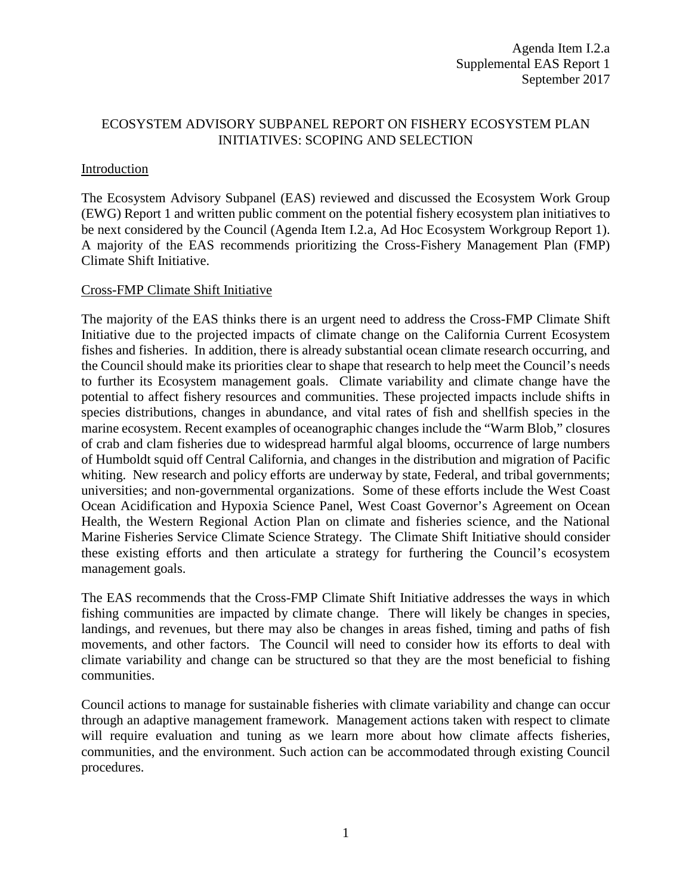## ECOSYSTEM ADVISORY SUBPANEL REPORT ON FISHERY ECOSYSTEM PLAN INITIATIVES: SCOPING AND SELECTION

## Introduction

The Ecosystem Advisory Subpanel (EAS) reviewed and discussed the Ecosystem Work Group (EWG) Report 1 and written public comment on the potential fishery ecosystem plan initiatives to be next considered by the Council (Agenda Item I.2.a, Ad Hoc Ecosystem Workgroup Report 1). A majority of the EAS recommends prioritizing the Cross-Fishery Management Plan (FMP) Climate Shift Initiative.

## Cross-FMP Climate Shift Initiative

The majority of the EAS thinks there is an urgent need to address the Cross-FMP Climate Shift Initiative due to the projected impacts of climate change on the California Current Ecosystem fishes and fisheries. In addition, there is already substantial ocean climate research occurring, and the Council should make its priorities clear to shape that research to help meet the Council's needs to further its Ecosystem management goals. Climate variability and climate change have the potential to affect fishery resources and communities. These projected impacts include shifts in species distributions, changes in abundance, and vital rates of fish and shellfish species in the marine ecosystem. Recent examples of oceanographic changes include the "Warm Blob," closures of crab and clam fisheries due to widespread harmful algal blooms, occurrence of large numbers of Humboldt squid off Central California, and changes in the distribution and migration of Pacific whiting. New research and policy efforts are underway by state, Federal, and tribal governments; universities; and non-governmental organizations. Some of these efforts include the West Coast Ocean Acidification and Hypoxia Science Panel, West Coast Governor's Agreement on Ocean Health, the Western Regional Action Plan on climate and fisheries science, and the National Marine Fisheries Service Climate Science Strategy. The Climate Shift Initiative should consider these existing efforts and then articulate a strategy for furthering the Council's ecosystem management goals.

The EAS recommends that the Cross-FMP Climate Shift Initiative addresses the ways in which fishing communities are impacted by climate change. There will likely be changes in species, landings, and revenues, but there may also be changes in areas fished, timing and paths of fish movements, and other factors. The Council will need to consider how its efforts to deal with climate variability and change can be structured so that they are the most beneficial to fishing communities.

Council actions to manage for sustainable fisheries with climate variability and change can occur through an adaptive management framework. Management actions taken with respect to climate will require evaluation and tuning as we learn more about how climate affects fisheries, communities, and the environment. Such action can be accommodated through existing Council procedures.